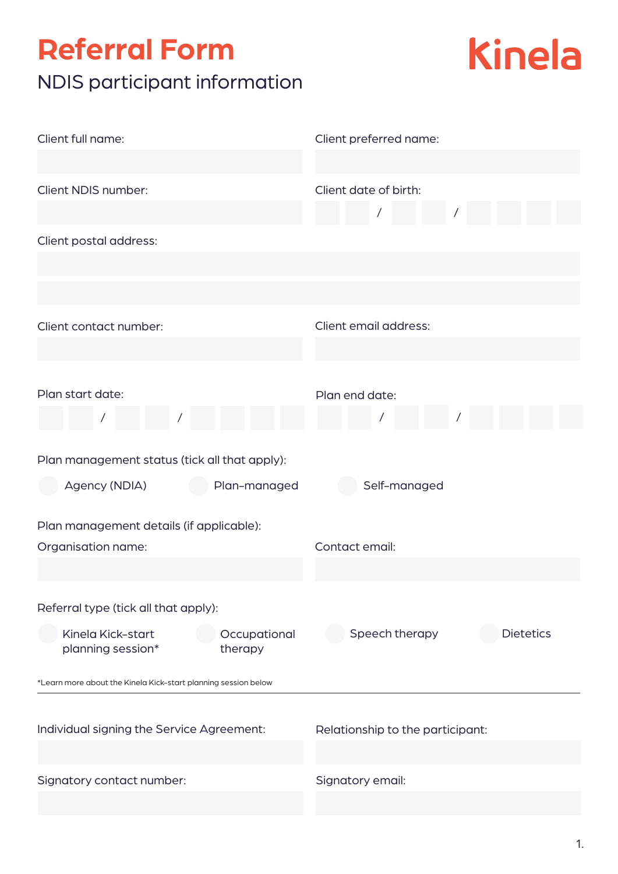## **Referral Form** NDIS participant information



| Client full name:                                              | Client preferred name:             |  |  |  |  |  |
|----------------------------------------------------------------|------------------------------------|--|--|--|--|--|
|                                                                |                                    |  |  |  |  |  |
| Client NDIS number:                                            | Client date of birth:              |  |  |  |  |  |
|                                                                |                                    |  |  |  |  |  |
| Client postal address:                                         |                                    |  |  |  |  |  |
|                                                                |                                    |  |  |  |  |  |
|                                                                |                                    |  |  |  |  |  |
| Client contact number:                                         | Client email address:              |  |  |  |  |  |
|                                                                |                                    |  |  |  |  |  |
|                                                                |                                    |  |  |  |  |  |
| Plan start date:                                               | Plan end date:                     |  |  |  |  |  |
|                                                                |                                    |  |  |  |  |  |
|                                                                |                                    |  |  |  |  |  |
| Plan management status (tick all that apply):                  |                                    |  |  |  |  |  |
| Agency (NDIA)<br>Plan-managed                                  | Self-managed                       |  |  |  |  |  |
| Plan management details (if applicable):                       |                                    |  |  |  |  |  |
| Organisation name:                                             | Contact email:                     |  |  |  |  |  |
|                                                                |                                    |  |  |  |  |  |
| Referral type (tick all that apply):                           |                                    |  |  |  |  |  |
| Kinela Kick-start<br>Occupational                              | Speech therapy<br><b>Dietetics</b> |  |  |  |  |  |
| planning session*<br>therapy                                   |                                    |  |  |  |  |  |
| *Learn more about the Kinela Kick-start planning session below |                                    |  |  |  |  |  |
|                                                                |                                    |  |  |  |  |  |
| Individual signing the Service Agreement:                      | Relationship to the participant:   |  |  |  |  |  |
|                                                                |                                    |  |  |  |  |  |
| Signatory contact number:                                      | Signatory email:                   |  |  |  |  |  |
|                                                                |                                    |  |  |  |  |  |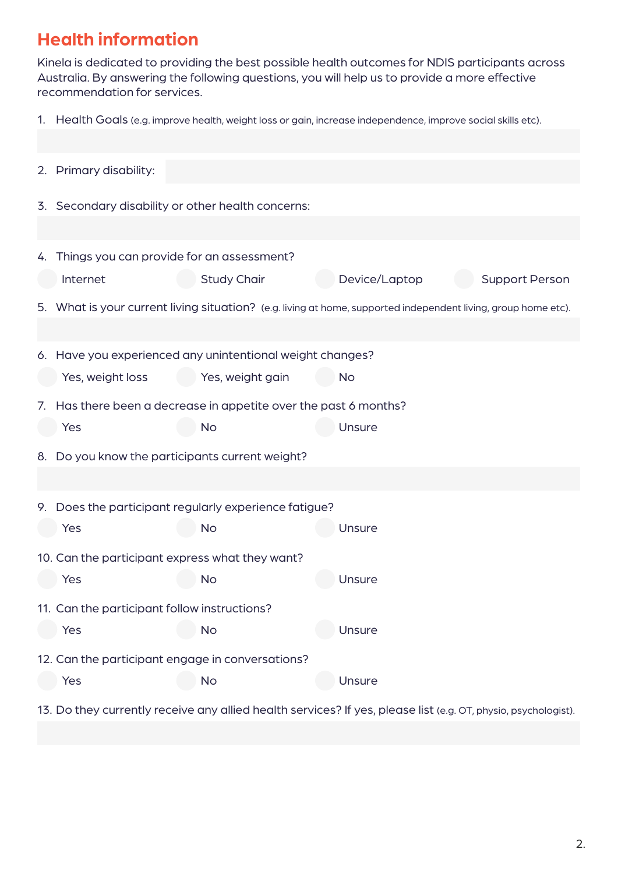## **Health information**

Kinela is dedicated to providing the best possible health outcomes for NDIS participants across Australia. By answering the following questions, you will help us to provide a more effective recommendation for services.

1. Health Goals (e.g. improve health, weight loss or gain, increase independence, improve social skills etc).

|  | 2. Primary disability:                                                                                         |                                                                                                                |               |                       |  |  |
|--|----------------------------------------------------------------------------------------------------------------|----------------------------------------------------------------------------------------------------------------|---------------|-----------------------|--|--|
|  | 3. Secondary disability or other health concerns:                                                              |                                                                                                                |               |                       |  |  |
|  |                                                                                                                |                                                                                                                |               |                       |  |  |
|  | 4. Things you can provide for an assessment?                                                                   |                                                                                                                |               |                       |  |  |
|  | Internet                                                                                                       | <b>Study Chair</b>                                                                                             | Device/Laptop | <b>Support Person</b> |  |  |
|  |                                                                                                                | 5. What is your current living situation? (e.g. living at home, supported independent living, group home etc). |               |                       |  |  |
|  |                                                                                                                |                                                                                                                |               |                       |  |  |
|  |                                                                                                                | 6. Have you experienced any unintentional weight changes?                                                      |               |                       |  |  |
|  | Yes, weight loss                                                                                               | Yes, weight gain                                                                                               | <b>No</b>     |                       |  |  |
|  |                                                                                                                | 7. Has there been a decrease in appetite over the past 6 months?                                               |               |                       |  |  |
|  | Yes                                                                                                            | <b>No</b>                                                                                                      | Unsure        |                       |  |  |
|  |                                                                                                                | 8. Do you know the participants current weight?                                                                |               |                       |  |  |
|  |                                                                                                                |                                                                                                                |               |                       |  |  |
|  |                                                                                                                | 9. Does the participant regularly experience fatigue?                                                          |               |                       |  |  |
|  | Yes                                                                                                            | <b>No</b>                                                                                                      | Unsure        |                       |  |  |
|  |                                                                                                                | 10. Can the participant express what they want?                                                                |               |                       |  |  |
|  | Yes                                                                                                            | No                                                                                                             | Unsure        |                       |  |  |
|  | 11. Can the participant follow instructions?                                                                   |                                                                                                                |               |                       |  |  |
|  | Yes                                                                                                            | <b>No</b>                                                                                                      | Unsure        |                       |  |  |
|  |                                                                                                                | 12. Can the participant engage in conversations?                                                               |               |                       |  |  |
|  | Yes                                                                                                            | <b>No</b>                                                                                                      | Unsure        |                       |  |  |
|  | 13. Do they currently receive any allied health services? If yes, please list (e.g. OT, physio, psychologist). |                                                                                                                |               |                       |  |  |